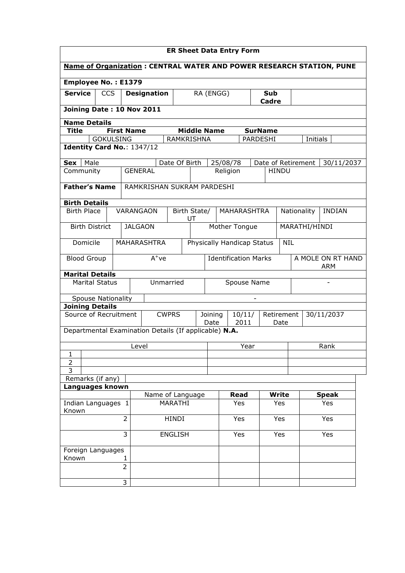| <b>ER Sheet Data Entry Form</b>                                             |                   |                            |                      |                                   |                                                    |                     |               |                                 |               |  |
|-----------------------------------------------------------------------------|-------------------|----------------------------|----------------------|-----------------------------------|----------------------------------------------------|---------------------|---------------|---------------------------------|---------------|--|
| <b>Name of Organization: CENTRAL WATER AND POWER RESEARCH STATION, PUNE</b> |                   |                            |                      |                                   |                                                    |                     |               |                                 |               |  |
| Employee No.: E1379                                                         |                   |                            |                      |                                   |                                                    |                     |               |                                 |               |  |
| <b>Service</b><br><b>CCS</b>                                                |                   | <b>Designation</b>         |                      | RA (ENGG)                         |                                                    | <b>Sub</b><br>Cadre |               |                                 |               |  |
| Joining Date: 10 Nov 2011                                                   |                   |                            |                      |                                   |                                                    |                     |               |                                 |               |  |
| <b>Name Details</b>                                                         |                   |                            |                      |                                   |                                                    |                     |               |                                 |               |  |
| <b>Title</b>                                                                | <b>First Name</b> |                            | <b>Middle Name</b>   |                                   |                                                    | <b>SurName</b>      |               |                                 |               |  |
| <b>GOKULSING</b><br><b>RAMKRISHNA</b><br>PARDESHI<br>Initials               |                   |                            |                      |                                   |                                                    |                     |               |                                 |               |  |
| Identity Card No.: 1347/12                                                  |                   |                            |                      |                                   |                                                    |                     |               |                                 |               |  |
| Male<br><b>Sex</b>                                                          |                   |                            | Date Of Birth        | 25/08/78                          |                                                    | Date of Retirement  |               |                                 | 30/11/2037    |  |
| Community                                                                   |                   | <b>GENERAL</b>             |                      | Religion                          |                                                    | <b>HINDU</b>        |               |                                 |               |  |
| <b>Father's Name</b>                                                        |                   | RAMKRISHAN SUKRAM PARDESHI |                      |                                   |                                                    |                     |               |                                 |               |  |
| <b>Birth Details</b>                                                        |                   |                            |                      |                                   |                                                    |                     |               |                                 |               |  |
| <b>Birth Place</b>                                                          | VARANGAON         |                            | Birth State/<br>UT   |                                   | <b>MAHARASHTRA</b>                                 |                     | Nationality   |                                 | <b>INDIAN</b> |  |
| <b>Birth District</b>                                                       |                   | <b>JALGAON</b>             |                      |                                   | Mother Tongue                                      |                     | MARATHI/HINDI |                                 |               |  |
| Domicile                                                                    |                   | <b>MAHARASHTRA</b>         |                      | <b>Physically Handicap Status</b> |                                                    |                     | <b>NIL</b>    |                                 |               |  |
| <b>Blood Group</b>                                                          | $A^+ve$           |                            |                      | <b>Identification Marks</b>       |                                                    |                     |               | A MOLE ON RT HAND<br><b>ARM</b> |               |  |
| <b>Marital Details</b>                                                      |                   |                            |                      |                                   |                                                    |                     |               |                                 |               |  |
| <b>Marital Status</b>                                                       |                   | Unmarried                  |                      |                                   | Spouse Name                                        |                     |               |                                 |               |  |
| <b>Spouse Nationality</b>                                                   |                   |                            |                      |                                   | $\overline{a}$                                     |                     |               |                                 |               |  |
| <b>Joining Details</b>                                                      |                   |                            |                      |                                   |                                                    |                     |               |                                 |               |  |
| Source of Recruitment                                                       |                   | <b>CWPRS</b>               |                      | Joining<br>Date                   | 10/11/<br>Retirement<br>30/11/2037<br>2011<br>Date |                     |               |                                 |               |  |
| Departmental Examination Details (If applicable) N.A.                       |                   |                            |                      |                                   |                                                    |                     |               |                                 |               |  |
|                                                                             |                   | Level                      |                      | Rank<br>Year                      |                                                    |                     |               |                                 |               |  |
| 1                                                                           |                   |                            |                      |                                   |                                                    |                     |               |                                 |               |  |
| 2<br>$\overline{\mathbf{3}}$                                                |                   |                            |                      |                                   |                                                    |                     |               |                                 |               |  |
| Remarks (if any)                                                            |                   |                            |                      |                                   |                                                    |                     |               |                                 |               |  |
| Languages known                                                             |                   |                            |                      |                                   |                                                    |                     |               |                                 |               |  |
| Name of Language                                                            |                   |                            | <b>Read</b><br>Write |                                   |                                                    |                     | <b>Speak</b>  |                                 |               |  |
| Indian Languages 1<br>MARATHI<br>Known                                      |                   |                            |                      | Yes                               | Yes                                                |                     |               | Yes                             |               |  |
| $\overline{2}$<br><b>HINDI</b>                                              |                   |                            | Yes                  |                                   | Yes                                                |                     | Yes           |                                 |               |  |
| 3<br><b>ENGLISH</b>                                                         |                   |                            |                      | Yes                               | Yes                                                |                     |               | Yes                             |               |  |
| Foreign Languages<br>Known<br>1                                             |                   |                            |                      |                                   |                                                    |                     |               |                                 |               |  |
|                                                                             | $\overline{2}$    |                            |                      |                                   |                                                    |                     |               |                                 |               |  |
|                                                                             | 3                 |                            |                      |                                   |                                                    |                     |               |                                 |               |  |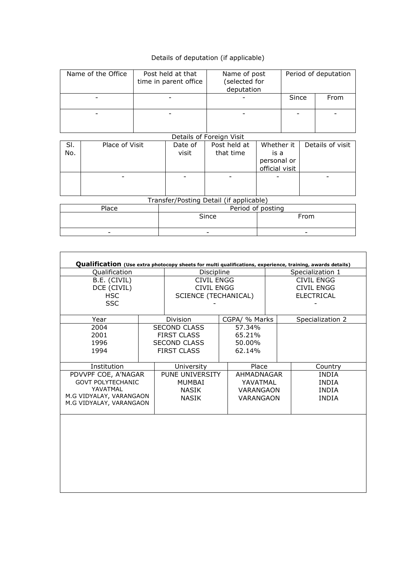## Details of deputation (if applicable)

| Name of the Office | Post held at that<br>time in parent office | Name of post<br>(selected for<br>deputation | Period of deputation |      |  |
|--------------------|--------------------------------------------|---------------------------------------------|----------------------|------|--|
| -                  |                                            |                                             | Since                | From |  |
|                    |                                            |                                             |                      |      |  |

Details of Foreign Visit Sl. No. Place of Visit | Date of visit Post held at that time Whether it is a personal or official visit Details of visit - - - - - Transfer/Posting Detail (if applicable)

| Place                    | Period of posting |      |  |  |  |  |  |  |  |
|--------------------------|-------------------|------|--|--|--|--|--|--|--|
|                          | Since             | From |  |  |  |  |  |  |  |
| $\overline{\phantom{a}}$ | -                 |      |  |  |  |  |  |  |  |

**F** 

| Qualification (Use extra photocopy sheets for multi qualifications, experience, training, awards details) |  |                             |               |                   |                  |  |  |  |  |
|-----------------------------------------------------------------------------------------------------------|--|-----------------------------|---------------|-------------------|------------------|--|--|--|--|
| Qualification                                                                                             |  | Discipline                  |               | Specialization 1  |                  |  |  |  |  |
| B.E. (CIVIL)                                                                                              |  | <b>CIVIL ENGG</b>           |               | CIVIL ENGG        |                  |  |  |  |  |
| DCE (CIVIL)                                                                                               |  | <b>CIVIL ENGG</b>           |               | CIVIL ENGG        |                  |  |  |  |  |
| <b>HSC</b>                                                                                                |  | <b>SCIENCE (TECHANICAL)</b> |               | <b>ELECTRICAL</b> |                  |  |  |  |  |
| <b>SSC</b>                                                                                                |  |                             |               |                   |                  |  |  |  |  |
| Year                                                                                                      |  | Division                    | CGPA/ % Marks |                   | Specialization 2 |  |  |  |  |
| 2004                                                                                                      |  | <b>SECOND CLASS</b>         | 57.34%        |                   |                  |  |  |  |  |
| 2001                                                                                                      |  | <b>FIRST CLASS</b>          | 65.21%        |                   |                  |  |  |  |  |
| 1996                                                                                                      |  | <b>SECOND CLASS</b>         | 50.00%        |                   |                  |  |  |  |  |
| 1994                                                                                                      |  | <b>FIRST CLASS</b>          | 62.14%        |                   |                  |  |  |  |  |
| Institution                                                                                               |  | University                  | Place         |                   | Country          |  |  |  |  |
| PDVVPF COE, A'NAGAR                                                                                       |  | <b>PUNE UNIVERSITY</b>      | AHMADNAGAR    |                   | <b>INDIA</b>     |  |  |  |  |
| <b>GOVT POLYTECHANIC</b>                                                                                  |  | MUMBAI                      | YAVATMAL      |                   | <b>INDIA</b>     |  |  |  |  |
| YAVATMAL                                                                                                  |  | NASIK                       | VARANGAON     |                   | <b>INDIA</b>     |  |  |  |  |
| M.G VIDYALAY, VARANGAON                                                                                   |  | <b>NASIK</b>                | VARANGAON     |                   | <b>INDIA</b>     |  |  |  |  |
| M.G VIDYALAY, VARANGAON                                                                                   |  |                             |               |                   |                  |  |  |  |  |
|                                                                                                           |  |                             |               |                   |                  |  |  |  |  |
|                                                                                                           |  |                             |               |                   |                  |  |  |  |  |
|                                                                                                           |  |                             |               |                   |                  |  |  |  |  |
|                                                                                                           |  |                             |               |                   |                  |  |  |  |  |
|                                                                                                           |  |                             |               |                   |                  |  |  |  |  |
|                                                                                                           |  |                             |               |                   |                  |  |  |  |  |
|                                                                                                           |  |                             |               |                   |                  |  |  |  |  |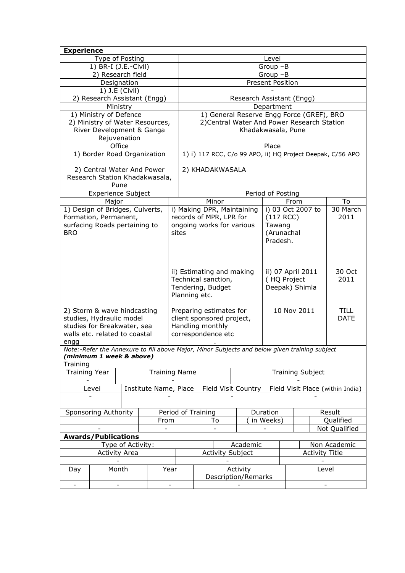| <b>Experience</b>               |                                              |                      |                                 |                     |                                                                   |                                                                                               |                     |                         |      |                       |                                                            |
|---------------------------------|----------------------------------------------|----------------------|---------------------------------|---------------------|-------------------------------------------------------------------|-----------------------------------------------------------------------------------------------|---------------------|-------------------------|------|-----------------------|------------------------------------------------------------|
| Type of Posting                 |                                              |                      |                                 |                     | Level                                                             |                                                                                               |                     |                         |      |                       |                                                            |
| 1) BR-I (J.E.-Civil)            |                                              |                      |                                 |                     | Group-B                                                           |                                                                                               |                     |                         |      |                       |                                                            |
| 2) Research field               |                                              |                      |                                 |                     | $Group-B$                                                         |                                                                                               |                     |                         |      |                       |                                                            |
| Designation                     |                                              |                      |                                 |                     | <b>Present Position</b>                                           |                                                                                               |                     |                         |      |                       |                                                            |
|                                 |                                              | 1) J.E (Civil)       |                                 |                     |                                                                   |                                                                                               |                     |                         |      |                       |                                                            |
|                                 |                                              |                      | 2) Research Assistant (Engg)    |                     | Research Assistant (Engg)                                         |                                                                                               |                     |                         |      |                       |                                                            |
|                                 |                                              | Ministry             |                                 |                     |                                                                   |                                                                                               |                     | Department              |      |                       |                                                            |
|                                 | 1) Ministry of Defence                       |                      |                                 |                     | 1) General Reserve Engg Force (GREF), BRO                         |                                                                                               |                     |                         |      |                       |                                                            |
|                                 |                                              |                      | 2) Ministry of Water Resources, |                     | 2) Central Water And Power Research Station<br>Khadakwasala, Pune |                                                                                               |                     |                         |      |                       |                                                            |
|                                 |                                              | Rejuvenation         | River Development & Ganga       |                     |                                                                   |                                                                                               |                     |                         |      |                       |                                                            |
|                                 |                                              | Office               |                                 |                     | Place                                                             |                                                                                               |                     |                         |      |                       |                                                            |
|                                 |                                              |                      | 1) Border Road Organization     |                     |                                                                   |                                                                                               |                     |                         |      |                       | 1) i) 117 RCC, C/o 99 APO, ii) HQ Project Deepak, C/56 APO |
|                                 |                                              |                      |                                 |                     |                                                                   |                                                                                               |                     |                         |      |                       |                                                            |
|                                 | 2) Central Water And Power                   |                      |                                 |                     |                                                                   | 2) KHADAKWASALA                                                                               |                     |                         |      |                       |                                                            |
|                                 |                                              |                      | Research Station Khadakwasala,  |                     |                                                                   |                                                                                               |                     |                         |      |                       |                                                            |
|                                 |                                              | Pune                 |                                 |                     |                                                                   |                                                                                               |                     |                         |      |                       |                                                            |
|                                 | <b>Experience Subject</b>                    |                      |                                 |                     |                                                                   |                                                                                               |                     | Period of Posting       |      |                       |                                                            |
|                                 | Major                                        |                      |                                 |                     |                                                                   | Minor                                                                                         |                     |                         | From |                       | To                                                         |
| 1) Design of Bridges, Culverts, |                                              |                      |                                 |                     |                                                                   | i) Making DPR, Maintaining                                                                    |                     |                         |      | i) 03 Oct 2007 to     | 30 March                                                   |
| Formation, Permanent,           |                                              |                      |                                 |                     |                                                                   | records of MPR, LPR for                                                                       |                     | $(117$ RCC)             |      |                       | 2011                                                       |
| surfacing Roads pertaining to   |                                              |                      |                                 |                     |                                                                   | ongoing works for various                                                                     |                     | Tawang                  |      |                       |                                                            |
| <b>BRO</b>                      |                                              |                      |                                 | sites               |                                                                   |                                                                                               |                     | (Arunachal              |      |                       |                                                            |
|                                 |                                              |                      |                                 |                     |                                                                   |                                                                                               |                     | Pradesh.                |      |                       |                                                            |
|                                 |                                              |                      |                                 |                     |                                                                   |                                                                                               |                     |                         |      |                       |                                                            |
|                                 |                                              |                      |                                 |                     |                                                                   |                                                                                               |                     |                         |      |                       |                                                            |
|                                 |                                              |                      |                                 |                     |                                                                   |                                                                                               |                     |                         |      |                       |                                                            |
|                                 |                                              |                      |                                 |                     |                                                                   | ii) Estimating and making                                                                     |                     |                         |      | ii) 07 April 2011     | 30 Oct                                                     |
|                                 |                                              |                      |                                 |                     |                                                                   | Technical sanction,                                                                           |                     | (HQ Project             |      |                       | 2011                                                       |
|                                 |                                              |                      |                                 |                     |                                                                   | Tendering, Budget                                                                             |                     |                         |      | Deepak) Shimla        |                                                            |
|                                 |                                              |                      |                                 |                     |                                                                   | Planning etc.                                                                                 |                     |                         |      |                       |                                                            |
| 2) Storm & wave hindcasting     |                                              |                      |                                 |                     |                                                                   | Preparing estimates for                                                                       |                     |                         |      | 10 Nov 2011           | <b>TILL</b>                                                |
| studies, Hydraulic model        |                                              |                      |                                 |                     |                                                                   | client sponsored project,                                                                     |                     |                         |      |                       | <b>DATE</b>                                                |
| studies for Breakwater, sea     |                                              |                      |                                 |                     |                                                                   | Handling monthly                                                                              |                     |                         |      |                       |                                                            |
| walls etc. related to coastal   |                                              |                      |                                 |                     | correspondence etc                                                |                                                                                               |                     |                         |      |                       |                                                            |
| engg                            |                                              |                      |                                 |                     |                                                                   |                                                                                               |                     |                         |      |                       |                                                            |
|                                 |                                              |                      |                                 |                     |                                                                   | Note:-Refer the Annexure to fill above Major, Minor Subjects and below given training subject |                     |                         |      |                       |                                                            |
| (minimum 1 week & above)        |                                              |                      |                                 |                     |                                                                   |                                                                                               |                     |                         |      |                       |                                                            |
| Training                        |                                              |                      |                                 |                     |                                                                   |                                                                                               |                     |                         |      |                       |                                                            |
|                                 | <b>Training Year</b><br><b>Training Name</b> |                      |                                 |                     |                                                                   |                                                                                               |                     | <b>Training Subject</b> |      |                       |                                                            |
|                                 |                                              |                      |                                 |                     |                                                                   |                                                                                               |                     |                         |      |                       |                                                            |
|                                 | Level                                        |                      | Institute Name, Place           |                     |                                                                   |                                                                                               | Field Visit Country |                         |      |                       | Field Visit Place (within India)                           |
|                                 |                                              |                      |                                 |                     |                                                                   |                                                                                               |                     |                         |      |                       |                                                            |
|                                 |                                              |                      |                                 |                     |                                                                   | Period of Training                                                                            |                     |                         |      |                       | Result                                                     |
| Sponsoring Authority            |                                              |                      |                                 |                     | To                                                                | Duration<br>in Weeks)                                                                         |                     |                         |      | Qualified             |                                                            |
| From                            |                                              |                      |                                 |                     |                                                                   |                                                                                               |                     | Not Qualified           |      |                       |                                                            |
| <b>Awards/Publications</b>      |                                              |                      |                                 |                     |                                                                   |                                                                                               |                     |                         |      |                       |                                                            |
|                                 |                                              | Type of Activity:    |                                 |                     |                                                                   |                                                                                               | Academic            |                         |      |                       | Non Academic                                               |
|                                 |                                              | <b>Activity Area</b> |                                 |                     | <b>Activity Subject</b>                                           |                                                                                               |                     |                         |      | <b>Activity Title</b> |                                                            |
|                                 |                                              |                      |                                 |                     |                                                                   |                                                                                               |                     |                         |      |                       |                                                            |
| Month<br>Year<br>Day            |                                              |                      |                                 |                     | Activity<br>Level                                                 |                                                                                               |                     |                         |      |                       |                                                            |
|                                 |                                              |                      |                                 | Description/Remarks |                                                                   |                                                                                               |                     |                         |      |                       |                                                            |
| $\frac{1}{2}$                   |                                              |                      |                                 |                     |                                                                   |                                                                                               |                     |                         |      |                       |                                                            |